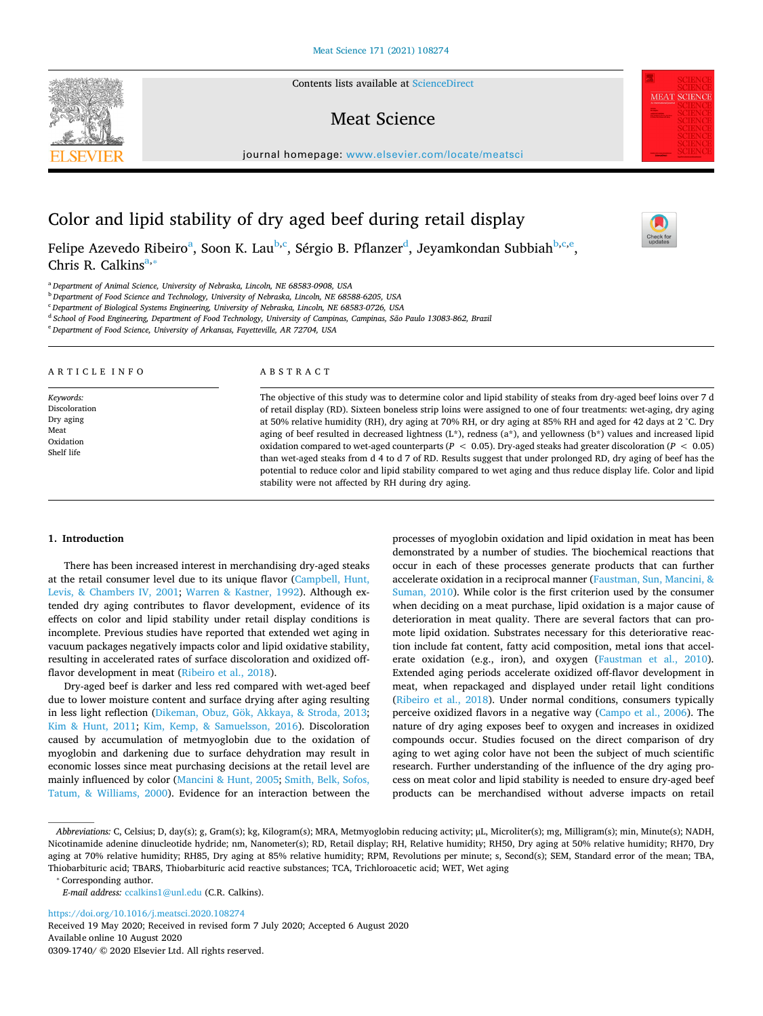Contents lists available at [ScienceDirect](http://www.sciencedirect.com/science/journal/03091740) 

## Meat Science

journal homepage: [www.elsevier.com/locate/meatsci](https://www.elsevier.com/locate/meatsci) 

# Color and lipid stability of dry aged beef during retail display

Felipe Azevedo Ribeiro<sup>[a](#page-0-0)</sup>, Soon K. Lau<sup>[b](#page-0-1),[c](#page-0-2)</sup>, Sérgio B. Pflanzer<sup>[d](#page-0-3)</sup>, Jeyamkondan Subbiah<sup>b,c[,e](#page-0-4)</sup>, Chris R. Calkins<sup>[a,](#page-0-0)\*</sup>

<span id="page-0-0"></span><sup>a</sup>*Department of Animal Science, University of Nebraska, Lincoln, NE 68583-0908, USA* 

<span id="page-0-1"></span><sup>b</sup>*Department of Food Science and Technology, University of Nebraska, Lincoln, NE 68588-6205, USA* 

<span id="page-0-2"></span><sup>c</sup>*Department of Biological Systems Engineering, University of Nebraska, Lincoln, NE 68583-0726, USA* 

<span id="page-0-3"></span><sup>d</sup>*School of Food Engineering, Department of Food Technology, University of Campinas, Campinas, São Paulo 13083-862, Brazil* 

<span id="page-0-4"></span><sup>e</sup>*Department of Food Science, University of Arkansas, Fayetteville, AR 72704, USA* 

A R T I C L E I N F O *Keywords:*  Discoloration Dry aging Meat Oxidation Shelf life ABSTRACT The objective of this study was to determine color and lipid stability of steaks from dry-aged beef loins over 7 d of retail display (RD). Sixteen boneless strip loins were assigned to one of four treatments: wet-aging, dry aging at 50% relative humidity (RH), dry aging at 70% RH, or dry aging at 85% RH and aged for 42 days at 2 °C. Dry aging of beef resulted in decreased lightness (L\*), redness (a\*), and yellowness (b\*) values and increased lipid oxidation compared to wet-aged counterparts (*P* < 0.05). Dry-aged steaks had greater discoloration (*P* < 0.05) than wet-aged steaks from d 4 to d 7 of RD. Results suggest that under prolonged RD, dry aging of beef has the potential to reduce color and lipid stability compared to wet aging and thus reduce display life. Color and lipid stability were not affected by RH during dry aging.

## **1. Introduction**

There has been increased interest in merchandising dry-aged steaks at the retail consumer level due to its unique flavor [\(Campbell, Hunt,](#page-3-0)  [Levis, & Chambers IV, 2001;](#page-3-0) [Warren & Kastner, 1992\)](#page-4-0). Although extended dry aging contributes to flavor development, evidence of its effects on color and lipid stability under retail display conditions is incomplete. Previous studies have reported that extended wet aging in vacuum packages negatively impacts color and lipid oxidative stability, resulting in accelerated rates of surface discoloration and oxidized offflavor development in meat ([Ribeiro et al., 2018](#page-4-1)).

Dry-aged beef is darker and less red compared with wet-aged beef due to lower moisture content and surface drying after aging resulting in less light reflection [\(Dikeman, Obuz, Gök, Akkaya, & Stroda, 2013](#page-3-1); [Kim & Hunt, 2011](#page-4-2); [Kim, Kemp, & Samuelsson, 2016\)](#page-4-3). Discoloration caused by accumulation of metmyoglobin due to the oxidation of myoglobin and darkening due to surface dehydration may result in economic losses since meat purchasing decisions at the retail level are mainly influenced by color [\(Mancini & Hunt, 2005;](#page-4-4) [Smith, Belk, Sofos,](#page-4-5)  [Tatum, & Williams, 2000\)](#page-4-5). Evidence for an interaction between the processes of myoglobin oxidation and lipid oxidation in meat has been demonstrated by a number of studies. The biochemical reactions that occur in each of these processes generate products that can further accelerate oxidation in a reciprocal manner [\(Faustman, Sun, Mancini, &](#page-4-6)  [Suman, 2010\)](#page-4-6). While color is the first criterion used by the consumer when deciding on a meat purchase, lipid oxidation is a major cause of deterioration in meat quality. There are several factors that can promote lipid oxidation. Substrates necessary for this deteriorative reaction include fat content, fatty acid composition, metal ions that accelerate oxidation (e.g., iron), and oxygen [\(Faustman et al., 2010](#page-4-6)). Extended aging periods accelerate oxidized off-flavor development in meat, when repackaged and displayed under retail light conditions ([Ribeiro et al., 2018](#page-4-1)). Under normal conditions, consumers typically perceive oxidized flavors in a negative way ([Campo et al., 2006](#page-3-2)). The nature of dry aging exposes beef to oxygen and increases in oxidized compounds occur. Studies focused on the direct comparison of dry aging to wet aging color have not been the subject of much scientific research. Further understanding of the influence of the dry aging process on meat color and lipid stability is needed to ensure dry-aged beef products can be merchandised without adverse impacts on retail

<span id="page-0-5"></span>⁎ Corresponding author.

*E-mail address:* [ccalkins1@unl.edu](mailto:ccalkins1@unl.edu) (C.R. Calkins).

<https://doi.org/10.1016/j.meatsci.2020.108274>

Received 19 May 2020; Received in revised form 7 July 2020; Accepted 6 August 2020 Available online 10 August 2020 0309-1740/ © 2020 Elsevier Ltd. All rights reserved.







*Abbreviations:* C, Celsius; D, day(s); g, Gram(s); kg, Kilogram(s); MRA, Metmyoglobin reducing activity; μL, Microliter(s); mg, Milligram(s); min, Minute(s); NADH, Nicotinamide adenine dinucleotide hydride; nm, Nanometer(s); RD, Retail display; RH, Relative humidity; RH50, Dry aging at 50% relative humidity; RH70, Dry aging at 70% relative humidity; RH85, Dry aging at 85% relative humidity; RPM, Revolutions per minute; s, Second(s); SEM, Standard error of the mean; TBA, Thiobarbituric acid; TBARS, Thiobarbituric acid reactive substances; TCA, Trichloroacetic acid; WET, Wet aging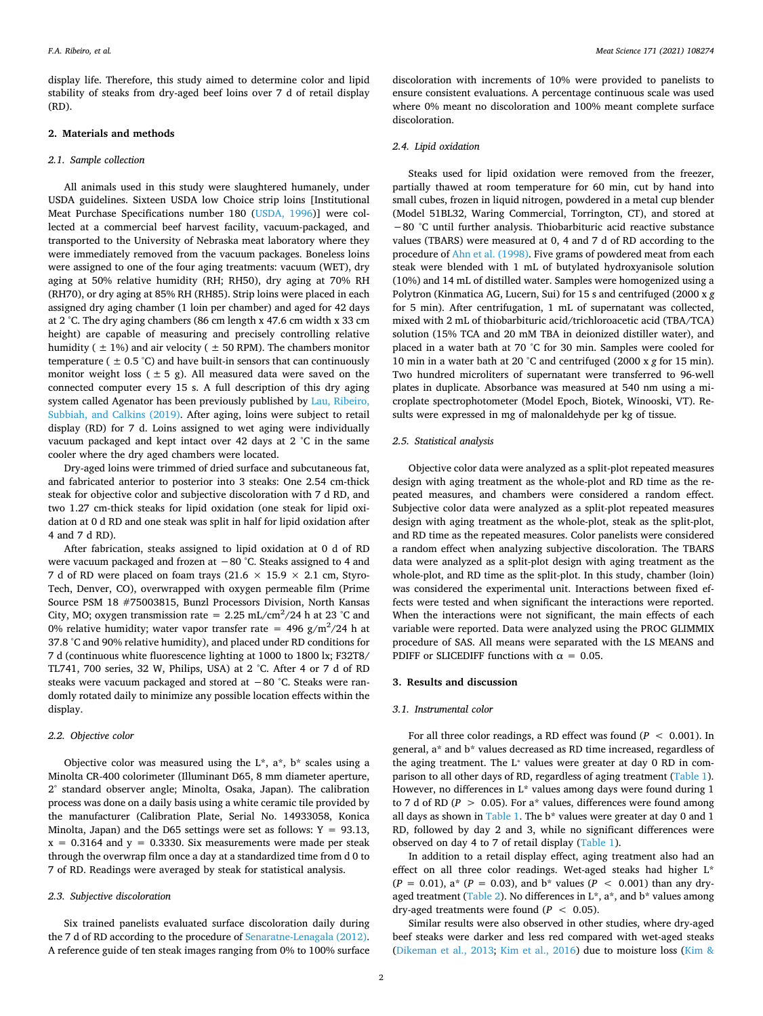display life. Therefore, this study aimed to determine color and lipid stability of steaks from dry-aged beef loins over 7 d of retail display (RD).

#### **2. Materials and methods**

#### *2.1. Sample collection*

All animals used in this study were slaughtered humanely, under USDA guidelines. Sixteen USDA low Choice strip loins [Institutional Meat Purchase Specifications number 180 [\(USDA, 1996](#page-4-7))] were collected at a commercial beef harvest facility, vacuum-packaged, and transported to the University of Nebraska meat laboratory where they were immediately removed from the vacuum packages. Boneless loins were assigned to one of the four aging treatments: vacuum (WET), dry aging at 50% relative humidity (RH; RH50), dry aging at 70% RH (RH70), or dry aging at 85% RH (RH85). Strip loins were placed in each assigned dry aging chamber (1 loin per chamber) and aged for 42 days at 2 °C. The dry aging chambers (86 cm length x 47.6 cm width x 33 cm height) are capable of measuring and precisely controlling relative humidity ( $\pm$  1%) and air velocity ( $\pm$  50 RPM). The chambers monitor temperature ( $\pm$  0.5 °C) and have built-in sensors that can continuously monitor weight loss ( $\pm$  5 g). All measured data were saved on the connected computer every 15 s. A full description of this dry aging system called Agenator has been previously published by [Lau, Ribeiro,](#page-4-8)  [Subbiah, and Calkins \(2019\).](#page-4-8) After aging, loins were subject to retail display (RD) for 7 d. Loins assigned to wet aging were individually vacuum packaged and kept intact over 42 days at 2 °C in the same cooler where the dry aged chambers were located.

Dry-aged loins were trimmed of dried surface and subcutaneous fat, and fabricated anterior to posterior into 3 steaks: One 2.54 cm-thick steak for objective color and subjective discoloration with 7 d RD, and two 1.27 cm-thick steaks for lipid oxidation (one steak for lipid oxidation at 0 d RD and one steak was split in half for lipid oxidation after 4 and 7 d RD).

After fabrication, steaks assigned to lipid oxidation at 0 d of RD were vacuum packaged and frozen at −80 °C. Steaks assigned to 4 and 7 d of RD were placed on foam trays (21.6  $\times$  15.9  $\times$  2.1 cm, Styro-Tech, Denver, CO), overwrapped with oxygen permeable film (Prime Source PSM 18 #75003815, Bunzl Processors Division, North Kansas City, MO; oxygen transmission rate =  $2.25$  mL/cm<sup>2</sup>/24 h at 23 °C and 0% relative humidity; water vapor transfer rate =  $496 \text{ g/m}^2/24 \text{ h}$  at 37.8 °C and 90% relative humidity), and placed under RD conditions for 7 d (continuous white fluorescence lighting at 1000 to 1800 lx; F32T8/ TL741, 700 series, 32 W, Philips, USA) at 2 °C. After 4 or 7 d of RD steaks were vacuum packaged and stored at −80 °C. Steaks were randomly rotated daily to minimize any possible location effects within the display.

#### *2.2. Objective color*

Objective color was measured using the  $L^*$ ,  $a^*$ ,  $b^*$  scales using a Minolta CR-400 colorimeter (Illuminant D65, 8 mm diameter aperture, 2° standard observer angle; Minolta, Osaka, Japan). The calibration process was done on a daily basis using a white ceramic tile provided by the manufacturer (Calibration Plate, Serial No. 14933058, Konica Minolta, Japan) and the D65 settings were set as follows:  $Y = 93.13$ ,  $x = 0.3164$  and  $y = 0.3330$ . Six measurements were made per steak through the overwrap film once a day at a standardized time from d 0 to 7 of RD. Readings were averaged by steak for statistical analysis.

#### *2.3. Subjective discoloration*

Six trained panelists evaluated surface discoloration daily during the 7 d of RD according to the procedure of [Senaratne-Lenagala \(2012\)](#page-4-9). A reference guide of ten steak images ranging from 0% to 100% surface

discoloration with increments of 10% were provided to panelists to ensure consistent evaluations. A percentage continuous scale was used where 0% meant no discoloration and 100% meant complete surface discoloration.

## *2.4. Lipid oxidation*

Steaks used for lipid oxidation were removed from the freezer, partially thawed at room temperature for 60 min, cut by hand into small cubes, frozen in liquid nitrogen, powdered in a metal cup blender (Model 51BL32, Waring Commercial, Torrington, CT), and stored at −80 °C until further analysis. Thiobarbituric acid reactive substance values (TBARS) were measured at 0, 4 and 7 d of RD according to the procedure of [Ahn et al. \(1998\).](#page-3-3) Five grams of powdered meat from each steak were blended with 1 mL of butylated hydroxyanisole solution (10%) and 14 mL of distilled water. Samples were homogenized using a Polytron (Kinmatica AG, Lucern, Sui) for 15 s and centrifuged (2000 x *g*  for 5 min). After centrifugation, 1 mL of supernatant was collected, mixed with 2 mL of thiobarbituric acid/trichloroacetic acid (TBA/TCA) solution (15% TCA and 20 mM TBA in deionized distiller water), and placed in a water bath at 70 °C for 30 min. Samples were cooled for 10 min in a water bath at 20 °C and centrifuged (2000 x *g* for 15 min). Two hundred microliters of supernatant were transferred to 96-well plates in duplicate. Absorbance was measured at 540 nm using a microplate spectrophotometer (Model Epoch, Biotek, Winooski, VT). Results were expressed in mg of malonaldehyde per kg of tissue.

## *2.5. Statistical analysis*

Objective color data were analyzed as a split-plot repeated measures design with aging treatment as the whole-plot and RD time as the repeated measures, and chambers were considered a random effect. Subjective color data were analyzed as a split-plot repeated measures design with aging treatment as the whole-plot, steak as the split-plot, and RD time as the repeated measures. Color panelists were considered a random effect when analyzing subjective discoloration. The TBARS data were analyzed as a split-plot design with aging treatment as the whole-plot, and RD time as the split-plot. In this study, chamber (loin) was considered the experimental unit. Interactions between fixed effects were tested and when significant the interactions were reported. When the interactions were not significant, the main effects of each variable were reported. Data were analyzed using the PROC GLIMMIX procedure of SAS. All means were separated with the LS MEANS and PDIFF or SLICEDIFF functions with  $\alpha = 0.05$ .

## **3. Results and discussion**

#### *3.1. Instrumental color*

For all three color readings, a RD effect was found (*P* < 0.001). In general, a\* and  $b^*$  values decreased as RD time increased, regardless of the aging treatment. The L<sup>\*</sup> values were greater at day 0 RD in comparison to all other days of RD, regardless of aging treatment [\(Table 1](#page-2-0)). However, no differences in L\* values among days were found during 1 to 7 d of RD ( $P > 0.05$ ). For a\* values, differences were found among all days as shown in [Table 1.](#page-2-0) The  $b^*$  values were greater at day 0 and 1 RD, followed by day 2 and 3, while no significant differences were observed on day 4 to 7 of retail display [\(Table 1](#page-2-0)).

In addition to a retail display effect, aging treatment also had an effect on all three color readings. Wet-aged steaks had higher L\*  $(P = 0.01)$ , a\*  $(P = 0.03)$ , and b\* values  $(P < 0.001)$  than any dry-aged treatment ([Table 2\)](#page-2-1). No differences in  $L^*$ ,  $a^*$ , and  $b^*$  values among dry-aged treatments were found  $(P < 0.05)$ .

Similar results were also observed in other studies, where dry-aged beef steaks were darker and less red compared with wet-aged steaks ([Dikeman et al., 2013;](#page-3-1) [Kim et al., 2016\)](#page-4-3) due to moisture loss ([Kim &](#page-4-2)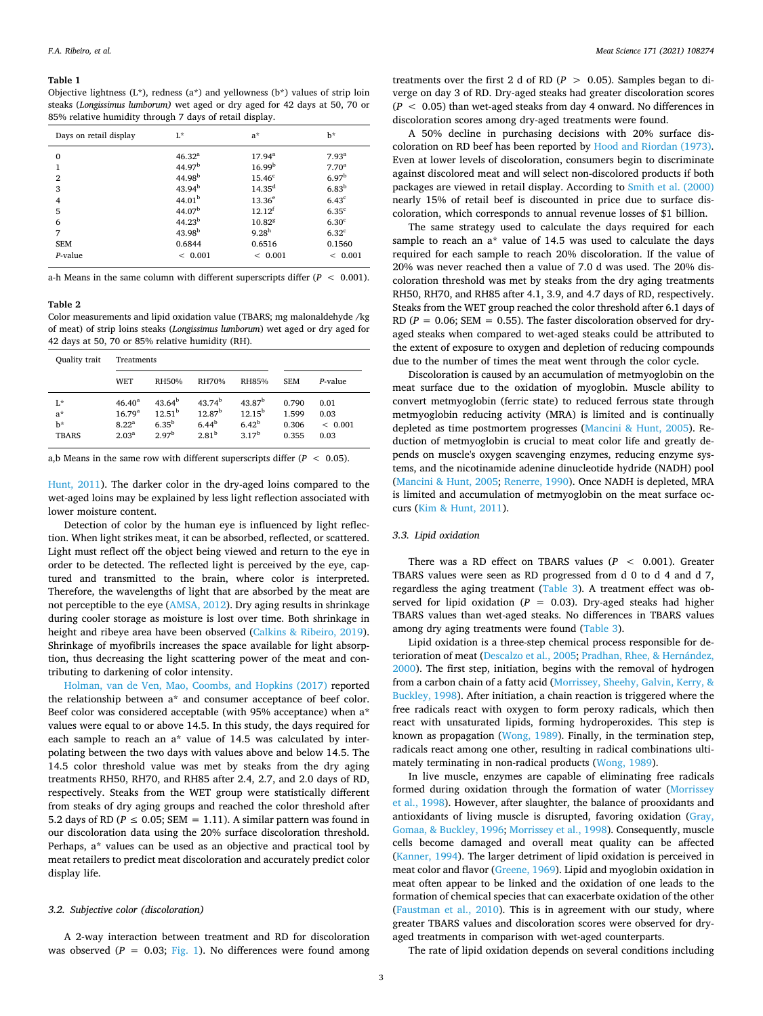#### <span id="page-2-0"></span>**Table 1**

Objective lightness (L\*), redness (a\*) and yellowness (b\*) values of strip loin steaks (*Longissimus lumborum)* wet aged or dry aged for 42 days at 50, 70 or 85% relative humidity through 7 days of retail display.

| Days on retail display              | $L^*$                                                                  | $a^*$                                                                    | h*                                                                               |
|-------------------------------------|------------------------------------------------------------------------|--------------------------------------------------------------------------|----------------------------------------------------------------------------------|
| $\mathbf{0}$<br>$\overline{2}$<br>3 | $46.32^{a}$<br>44.97 <sup>b</sup><br>44.98 <sup>b</sup><br>$43.94^{b}$ | $17.94^{\rm a}$<br>16.99 <sup>b</sup><br>15.46 <sup>c</sup><br>$14.35^d$ | 7.93 <sup>a</sup><br>7.70 <sup>a</sup><br>6.97 <sup>b</sup><br>6.83 <sup>b</sup> |
| $\overline{4}$                      | 44.01 <sup>b</sup>                                                     | $13.36^e$                                                                | 6.43 <sup>c</sup>                                                                |
| 5                                   | 44.07 <sup>b</sup>                                                     | $12.12^{f}$                                                              | $6.35^{\circ}$                                                                   |
| 6                                   | 44.23 <sup>b</sup>                                                     | 10.828                                                                   | 6.30 <sup>c</sup>                                                                |
| 7                                   | 43.98 <sup>b</sup>                                                     | 9.28 <sup>h</sup>                                                        | 6.32 <sup>c</sup>                                                                |
| <b>SEM</b>                          | 0.6844                                                                 | 0.6516                                                                   | 0.1560                                                                           |
| $P$ -value                          | < 0.001                                                                | < 0.001                                                                  | < 0.001                                                                          |

a-h Means in the same column with different superscripts differ  $(P < 0.001)$ .

#### <span id="page-2-1"></span>**Table 2**

Color measurements and lipid oxidation value (TBARS; mg malonaldehyde /kg of meat) of strip loins steaks (*Longissimus lumborum*) wet aged or dry aged for 42 days at 50, 70 or 85% relative humidity (RH).

| Quality trait                     | Treatments                                                                |                                                                             |                                                                             |                                                                      |                                  |                                 |
|-----------------------------------|---------------------------------------------------------------------------|-----------------------------------------------------------------------------|-----------------------------------------------------------------------------|----------------------------------------------------------------------|----------------------------------|---------------------------------|
|                                   | WET                                                                       | RH50%                                                                       | RH70%                                                                       | <b>RH85%</b>                                                         | <b>SEM</b>                       | P-value                         |
| r.<br>$a^*$<br>h*<br><b>TBARS</b> | $46.40^{\rm a}$<br>16.79 <sup>a</sup><br>$8.22^{\rm a}$<br>$2.03^{\rm a}$ | 43.64 <sup>b</sup><br>12.51 <sup>b</sup><br>$6.35^{b}$<br>2.97 <sup>b</sup> | 43.74 <sup>b</sup><br>12.87 <sup>b</sup><br>$6.44^{b}$<br>2.81 <sup>b</sup> | 43.87 <sup>b</sup><br>$12.15^{b}$<br>$6.42^{b}$<br>3.17 <sup>b</sup> | 0.790<br>1.599<br>0.306<br>0.355 | 0.01<br>0.03<br>< 0.001<br>0.03 |

a,b Means in the same row with different superscripts differ  $(P < 0.05)$ .

[Hunt, 2011\)](#page-4-2). The darker color in the dry-aged loins compared to the wet-aged loins may be explained by less light reflection associated with lower moisture content.

Detection of color by the human eye is influenced by light reflection. When light strikes meat, it can be absorbed, reflected, or scattered. Light must reflect off the object being viewed and return to the eye in order to be detected. The reflected light is perceived by the eye, captured and transmitted to the brain, where color is interpreted. Therefore, the wavelengths of light that are absorbed by the meat are not perceptible to the eye [\(AMSA, 2012\)](#page-3-4). Dry aging results in shrinkage during cooler storage as moisture is lost over time. Both shrinkage in height and ribeye area have been observed ([Calkins & Ribeiro, 2019](#page-3-5)). Shrinkage of myofibrils increases the space available for light absorption, thus decreasing the light scattering power of the meat and contributing to darkening of color intensity.

[Holman, van de Ven, Mao, Coombs, and Hopkins \(2017\)](#page-4-10) reported the relationship between a\* and consumer acceptance of beef color. Beef color was considered acceptable (with 95% acceptance) when a\* values were equal to or above 14.5. In this study, the days required for each sample to reach an a\* value of 14.5 was calculated by interpolating between the two days with values above and below 14.5. The 14.5 color threshold value was met by steaks from the dry aging treatments RH50, RH70, and RH85 after 2.4, 2.7, and 2.0 days of RD, respectively. Steaks from the WET group were statistically different from steaks of dry aging groups and reached the color threshold after 5.2 days of RD ( $P \le 0.05$ ; SEM = 1.11). A similar pattern was found in our discoloration data using the 20% surface discoloration threshold. Perhaps, a\* values can be used as an objective and practical tool by meat retailers to predict meat discoloration and accurately predict color display life.

## *3.2. Subjective color (discoloration)*

A 2-way interaction between treatment and RD for discoloration was observed ( $P = 0.03$ ; [Fig. 1](#page-3-6)). No differences were found among

treatments over the first 2 d of RD ( $P > 0.05$ ). Samples began to diverge on day 3 of RD. Dry-aged steaks had greater discoloration scores (*P* < 0.05) than wet-aged steaks from day 4 onward. No differences in discoloration scores among dry-aged treatments were found.

A 50% decline in purchasing decisions with 20% surface discoloration on RD beef has been reported by [Hood and Riordan \(1973\)](#page-4-11). Even at lower levels of discoloration, consumers begin to discriminate against discolored meat and will select non-discolored products if both packages are viewed in retail display. According to [Smith et al. \(2000\)](#page-4-5)  nearly 15% of retail beef is discounted in price due to surface discoloration, which corresponds to annual revenue losses of \$1 billion.

The same strategy used to calculate the days required for each sample to reach an a\* value of 14.5 was used to calculate the days required for each sample to reach 20% discoloration. If the value of 20% was never reached then a value of 7.0 d was used. The 20% discoloration threshold was met by steaks from the dry aging treatments RH50, RH70, and RH85 after 4.1, 3.9, and 4.7 days of RD, respectively. Steaks from the WET group reached the color threshold after 6.1 days of RD ( $P = 0.06$ ; SEM = 0.55). The faster discoloration observed for dryaged steaks when compared to wet-aged steaks could be attributed to the extent of exposure to oxygen and depletion of reducing compounds due to the number of times the meat went through the color cycle.

Discoloration is caused by an accumulation of metmyoglobin on the meat surface due to the oxidation of myoglobin. Muscle ability to convert metmyoglobin (ferric state) to reduced ferrous state through metmyoglobin reducing activity (MRA) is limited and is continually depleted as time postmortem progresses ([Mancini & Hunt, 2005\)](#page-4-4). Reduction of metmyoglobin is crucial to meat color life and greatly depends on muscle's oxygen scavenging enzymes, reducing enzyme systems, and the nicotinamide adenine dinucleotide hydride (NADH) pool ([Mancini & Hunt, 2005](#page-4-4); [Renerre, 1990\)](#page-4-12). Once NADH is depleted, MRA is limited and accumulation of metmyoglobin on the meat surface occurs ([Kim & Hunt, 2011](#page-4-2)).

#### *3.3. Lipid oxidation*

There was a RD effect on TBARS values (*P* < 0.001). Greater TBARS values were seen as RD progressed from d 0 to d 4 and d 7, regardless the aging treatment ([Table 3](#page-3-7)). A treatment effect was observed for lipid oxidation ( $P = 0.03$ ). Dry-aged steaks had higher TBARS values than wet-aged steaks. No differences in TBARS values among dry aging treatments were found ([Table 3\)](#page-3-7).

Lipid oxidation is a three-step chemical process responsible for deterioration of meat ([Descalzo et al., 2005;](#page-3-8) [Pradhan, Rhee, & Hernández,](#page-4-13)  [2000\)](#page-4-13). The first step, initiation, begins with the removal of hydrogen from a carbon chain of a fatty acid ([Morrissey, Sheehy, Galvin, Kerry, &](#page-4-14)  [Buckley, 1998\)](#page-4-14). After initiation, a chain reaction is triggered where the free radicals react with oxygen to form peroxy radicals, which then react with unsaturated lipids, forming hydroperoxides. This step is known as propagation ([Wong, 1989](#page-4-15)). Finally, in the termination step, radicals react among one other, resulting in radical combinations ultimately terminating in non-radical products ([Wong, 1989](#page-4-15)).

In live muscle, enzymes are capable of eliminating free radicals formed during oxidation through the formation of water [\(Morrissey](#page-4-14)  [et al., 1998](#page-4-14)). However, after slaughter, the balance of prooxidants and antioxidants of living muscle is disrupted, favoring oxidation [\(Gray,](#page-4-16)  [Gomaa, & Buckley, 1996](#page-4-16); [Morrissey et al., 1998\)](#page-4-14). Consequently, muscle cells become damaged and overall meat quality can be affected ([Kanner, 1994\)](#page-4-17). The larger detriment of lipid oxidation is perceived in meat color and flavor ([Greene, 1969\)](#page-4-18). Lipid and myoglobin oxidation in meat often appear to be linked and the oxidation of one leads to the formation of chemical species that can exacerbate oxidation of the other ([Faustman et al., 2010](#page-4-6)). This is in agreement with our study, where greater TBARS values and discoloration scores were observed for dryaged treatments in comparison with wet-aged counterparts.

The rate of lipid oxidation depends on several conditions including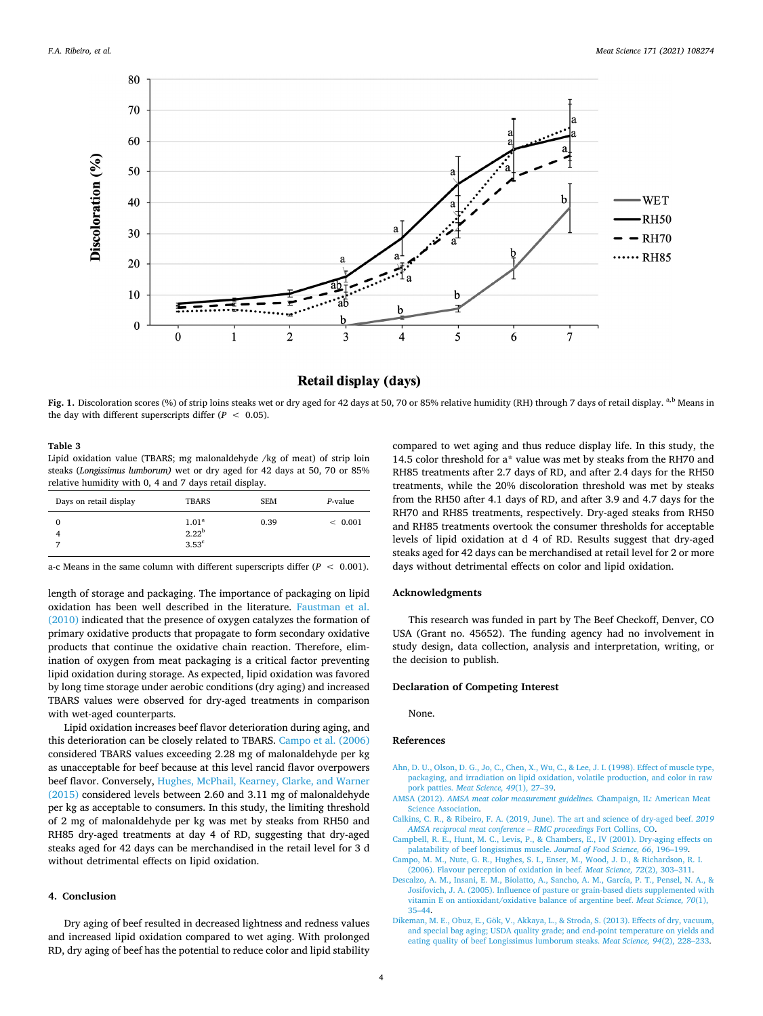<span id="page-3-6"></span>

## Retail display (days)

**Fig. 1.** Discoloration scores (%) of strip loins steaks wet or dry aged for 42 days at 50, 70 or 85% relative humidity (RH) through 7 days of retail display. <sup>a,b</sup> Means in the day with different superscripts differ  $(P < 0.05)$ .

#### <span id="page-3-7"></span>**Table 3**

Lipid oxidation value (TBARS; mg malonaldehyde /kg of meat) of strip loin steaks (*Longissimus lumborum)* wet or dry aged for 42 days at 50, 70 or 85% relative humidity with 0, 4 and 7 days retail display.

| Days on retail display | <b>TBARS</b>                                      | <b>SEM</b> | P-value |
|------------------------|---------------------------------------------------|------------|---------|
| $\Omega$               | 1.01 <sup>a</sup><br>$2.22^{b}$<br>$3.53^{\circ}$ | 0.39       | < 0.001 |

a-c Means in the same column with different superscripts differ (*P* < 0.001).

length of storage and packaging. The importance of packaging on lipid oxidation has been well described in the literature. [Faustman et al.](#page-4-6)  [\(2010\)](#page-4-6) indicated that the presence of oxygen catalyzes the formation of primary oxidative products that propagate to form secondary oxidative products that continue the oxidative chain reaction. Therefore, elimination of oxygen from meat packaging is a critical factor preventing lipid oxidation during storage. As expected, lipid oxidation was favored by long time storage under aerobic conditions (dry aging) and increased TBARS values were observed for dry-aged treatments in comparison with wet-aged counterparts.

Lipid oxidation increases beef flavor deterioration during aging, and this deterioration can be closely related to TBARS. [Campo et al. \(2006\)](#page-3-2)  considered TBARS values exceeding 2.28 mg of malonaldehyde per kg as unacceptable for beef because at this level rancid flavor overpowers beef flavor. Conversely, [Hughes, McPhail, Kearney, Clarke, and Warner](#page-4-19)  [\(2015\)](#page-4-19) considered levels between 2.60 and 3.11 mg of malonaldehyde per kg as acceptable to consumers. In this study, the limiting threshold of 2 mg of malonaldehyde per kg was met by steaks from RH50 and RH85 dry-aged treatments at day 4 of RD, suggesting that dry-aged steaks aged for 42 days can be merchandised in the retail level for 3 d without detrimental effects on lipid oxidation.

## **4. Conclusion**

Dry aging of beef resulted in decreased lightness and redness values and increased lipid oxidation compared to wet aging. With prolonged RD, dry aging of beef has the potential to reduce color and lipid stability

compared to wet aging and thus reduce display life. In this study, the 14.5 color threshold for a\* value was met by steaks from the RH70 and RH85 treatments after 2.7 days of RD, and after 2.4 days for the RH50 treatments, while the 20% discoloration threshold was met by steaks from the RH50 after 4.1 days of RD, and after 3.9 and 4.7 days for the RH70 and RH85 treatments, respectively. Dry-aged steaks from RH50 and RH85 treatments overtook the consumer thresholds for acceptable levels of lipid oxidation at d 4 of RD. Results suggest that dry-aged steaks aged for 42 days can be merchandised at retail level for 2 or more days without detrimental effects on color and lipid oxidation.

## **Acknowledgments**

This research was funded in part by The Beef Checkoff, Denver, CO USA (Grant no. 45652). The funding agency had no involvement in study design, data collection, analysis and interpretation, writing, or the decision to publish.

## **Declaration of Competing Interest**

None.

## **References**

- <span id="page-3-3"></span>[Ahn, D. U., Olson, D. G., Jo, C., Chen, X., Wu, C., & Lee, J. I. \(1998\). Effect of muscle type,](http://refhub.elsevier.com/S0309-1740(20)30706-3/rf0005)  [packaging, and irradiation on lipid oxidation, volatile production, and color in raw](http://refhub.elsevier.com/S0309-1740(20)30706-3/rf0005) pork patties. *[Meat Science, 49](http://refhub.elsevier.com/S0309-1740(20)30706-3/rf0005)*(1), 27–39.
- <span id="page-3-4"></span>AMSA (2012). *[AMSA meat color measurement guidelines.](http://refhub.elsevier.com/S0309-1740(20)30706-3/rf0010)* Champaign, IL: American Meat [Science Association.](http://refhub.elsevier.com/S0309-1740(20)30706-3/rf0010)
- <span id="page-3-5"></span>[Calkins, C. R., & Ribeiro, F. A. \(2019, June\). The art and science of dry-aged beef.](http://refhub.elsevier.com/S0309-1740(20)30706-3/rf0015) *2019 [AMSA reciprocal meat conference – RMC proceedings](http://refhub.elsevier.com/S0309-1740(20)30706-3/rf0015)* Fort Collins, CO.
- <span id="page-3-0"></span>[Campbell, R. E., Hunt, M. C., Levis, P., & Chambers, E., IV \(2001\). Dry-aging effects on](http://refhub.elsevier.com/S0309-1740(20)30706-3/rf0020) [palatability of beef longissimus muscle.](http://refhub.elsevier.com/S0309-1740(20)30706-3/rf0020) *Journal of Food Science, 66*, 196–199.
- <span id="page-3-2"></span>[Campo, M. M., Nute, G. R., Hughes, S. I., Enser, M., Wood, J. D., & Richardson, R. I.](http://refhub.elsevier.com/S0309-1740(20)30706-3/rf0025)  [\(2006\). Flavour perception of oxidation in beef.](http://refhub.elsevier.com/S0309-1740(20)30706-3/rf0025) *Meat Science, 72*(2), 303–311.
- <span id="page-3-8"></span>[Descalzo, A. M., Insani, E. M., Biolatto, A., Sancho, A. M., García, P. T., Pensel, N. A., &](http://refhub.elsevier.com/S0309-1740(20)30706-3/rf0030)  [Josifovich, J. A. \(2005\). Influence of pasture or grain-based diets supplemented with](http://refhub.elsevier.com/S0309-1740(20)30706-3/rf0030)  [vitamin E on antioxidant/oxidative balance of argentine beef.](http://refhub.elsevier.com/S0309-1740(20)30706-3/rf0030) *Meat Science, 70*(1), [35–44](http://refhub.elsevier.com/S0309-1740(20)30706-3/rf0030).
- <span id="page-3-1"></span>[Dikeman, M. E., Obuz, E., Gök, V., Akkaya, L., & Stroda, S. \(2013\). Effects of dry, vacuum,](http://refhub.elsevier.com/S0309-1740(20)30706-3/rf0035)  [and special bag aging; USDA quality grade; and end-point temperature on yields and](http://refhub.elsevier.com/S0309-1740(20)30706-3/rf0035)  [eating quality of beef Longissimus lumborum steaks.](http://refhub.elsevier.com/S0309-1740(20)30706-3/rf0035) *Meat Science, 94*(2), 228–233.